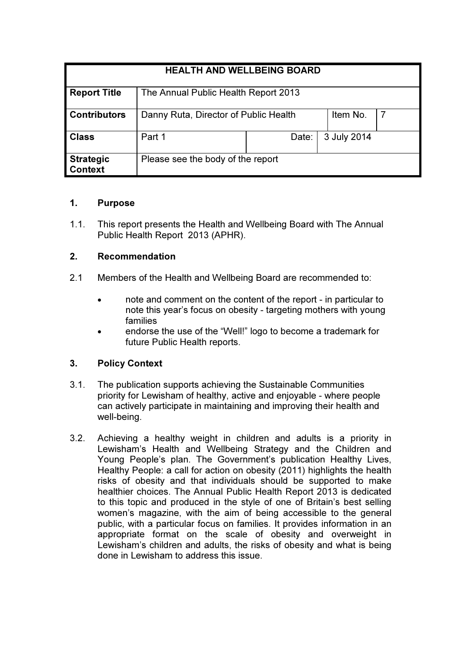| <b>HEALTH AND WELLBEING BOARD</b>  |                                       |       |             |
|------------------------------------|---------------------------------------|-------|-------------|
| <b>Report Title</b>                | The Annual Public Health Report 2013  |       |             |
| <b>Contributors</b>                | Danny Ruta, Director of Public Health |       | Item No.    |
| <b>Class</b>                       | Part 1                                | Date: | 3 July 2014 |
| <b>Strategic</b><br><b>Context</b> | Please see the body of the report     |       |             |

#### 1. Purpose

1.1. This report presents the Health and Wellbeing Board with The Annual Public Health Report 2013 (APHR).

## 2. Recommendation

- 2.1 Members of the Health and Wellbeing Board are recommended to:
	- note and comment on the content of the report in particular to note this year's focus on obesity - targeting mothers with young families
	- endorse the use of the "Well!" logo to become a trademark for future Public Health reports.

## 3. Policy Context

- 3.1. The publication supports achieving the Sustainable Communities priority for Lewisham of healthy, active and enjoyable - where people can actively participate in maintaining and improving their health and well-being.
- 3.2. Achieving a healthy weight in children and adults is a priority in Lewisham's Health and Wellbeing Strategy and the Children and Young People's plan. The Government's publication Healthy Lives, Healthy People: a call for action on obesity (2011) highlights the health risks of obesity and that individuals should be supported to make healthier choices. The Annual Public Health Report 2013 is dedicated to this topic and produced in the style of one of Britain's best selling women's magazine, with the aim of being accessible to the general public, with a particular focus on families. It provides information in an appropriate format on the scale of obesity and overweight in Lewisham's children and adults, the risks of obesity and what is being done in Lewisham to address this issue.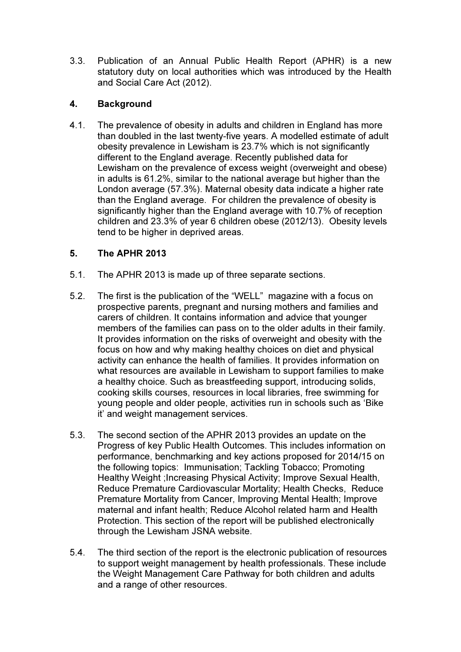3.3. Publication of an Annual Public Health Report (APHR) is a new statutory duty on local authorities which was introduced by the Health and Social Care Act (2012).

## 4. Background

4.1. The prevalence of obesity in adults and children in England has more than doubled in the last twenty-five years. A modelled estimate of adult obesity prevalence in Lewisham is 23.7% which is not significantly different to the England average. Recently published data for Lewisham on the prevalence of excess weight (overweight and obese) in adults is 61.2%, similar to the national average but higher than the London average (57.3%). Maternal obesity data indicate a higher rate than the England average. For children the prevalence of obesity is significantly higher than the England average with 10.7% of reception children and 23.3% of year 6 children obese (2012/13). Obesity levels tend to be higher in deprived areas.

# 5. The APHR 2013

- 5.1. The APHR 2013 is made up of three separate sections.
- 5.2. The first is the publication of the "WELL" magazine with a focus on prospective parents, pregnant and nursing mothers and families and carers of children. It contains information and advice that younger members of the families can pass on to the older adults in their family. It provides information on the risks of overweight and obesity with the focus on how and why making healthy choices on diet and physical activity can enhance the health of families. It provides information on what resources are available in Lewisham to support families to make a healthy choice. Such as breastfeeding support, introducing solids, cooking skills courses, resources in local libraries, free swimming for young people and older people, activities run in schools such as 'Bike it' and weight management services.
- 5.3. The second section of the APHR 2013 provides an update on the Progress of key Public Health Outcomes. This includes information on performance, benchmarking and key actions proposed for 2014/15 on the following topics: Immunisation; Tackling Tobacco; Promoting Healthy Weight ;Increasing Physical Activity; Improve Sexual Health, Reduce Premature Cardiovascular Mortality; Health Checks, Reduce Premature Mortality from Cancer, Improving Mental Health; Improve maternal and infant health; Reduce Alcohol related harm and Health Protection. This section of the report will be published electronically through the Lewisham JSNA website.
- 5.4. The third section of the report is the electronic publication of resources to support weight management by health professionals. These include the Weight Management Care Pathway for both children and adults and a range of other resources.